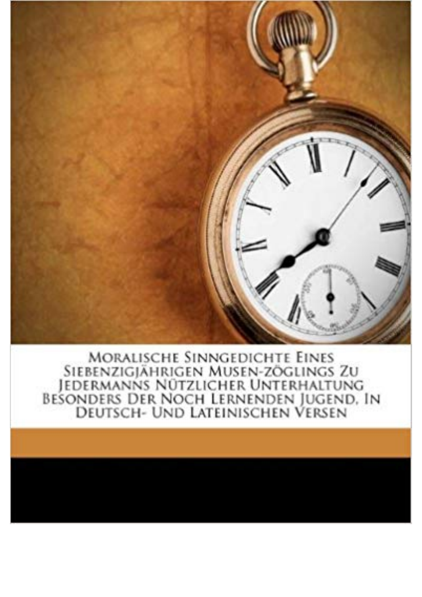Moralische Sinngedichte Eines<br>Siebenzigjährigen Musen-zöglings Zu<br>Jedermanns Nützlicher Unterhaltung<br>Besonders Der Noch Lernenden Jugend, In<br>Deutsch- Und Lateinischen Versen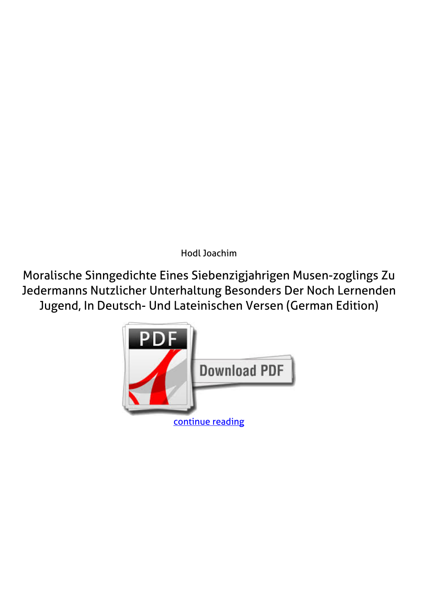*Hodl Joachim*

**Moralische Sinngedichte Eines Siebenzigjahrigen Musen-zoglings Zu Jedermanns Nutzlicher Unterhaltung Besonders Der Noch Lernenden Jugend, In Deutsch- Und Lateinischen Versen (German Edition)**

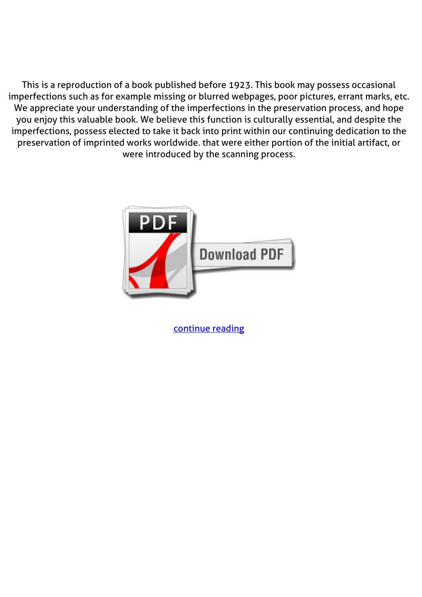This is a reproduction of a book published before 1923. This book may possess occasional imperfections such as for example missing or blurred webpages, poor pictures, errant marks, etc. We appreciate your understanding of the imperfections in the preservation process, and hope you enjoy this valuable book. We believe this function is culturally essential, and despite the imperfections, possess elected to take it back into print within our continuing dedication to the preservation of imprinted works worldwide. that were either portion of the initial artifact, or were introduced by the scanning process.



[continue reading](http://bit.ly/2Tge8Fv)